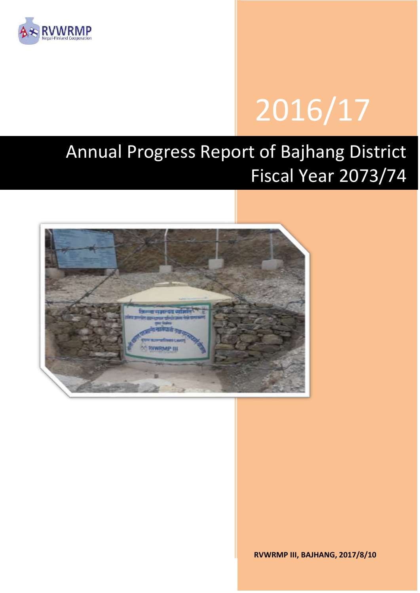

# 2016/17

# Annual Progress Report of Bajhang District Fiscal Year 2073/74



**RVWRMP III, BAJHANG, 2017/8/10**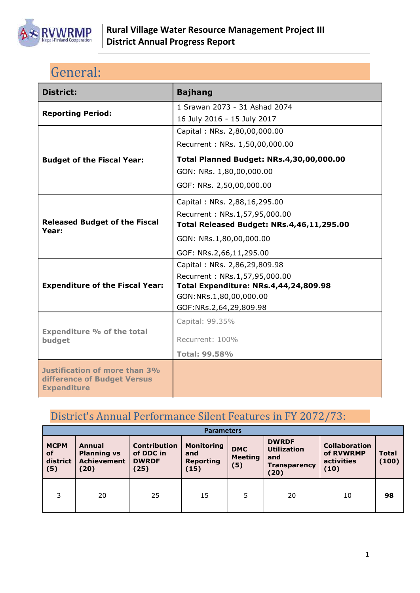

# <span id="page-1-0"></span>General:

| <b>District:</b>                                                                   | <b>Bajhang</b>                            |
|------------------------------------------------------------------------------------|-------------------------------------------|
| <b>Reporting Period:</b>                                                           | 1 Srawan 2073 - 31 Ashad 2074             |
|                                                                                    | 16 July 2016 - 15 July 2017               |
|                                                                                    | Capital: NRs. 2,80,00,000.00              |
|                                                                                    | Recurrent: NRs. 1,50,00,000.00            |
| <b>Budget of the Fiscal Year:</b>                                                  | Total Planned Budget: NRs.4,30,00,000.00  |
|                                                                                    | GON: NRs. 1,80,00,000.00                  |
|                                                                                    | GOF: NRs. 2,50,00,000.00                  |
|                                                                                    | Capital: NRs. 2,88,16,295.00              |
|                                                                                    | Recurrent: NRs.1,57,95,000.00             |
| <b>Released Budget of the Fiscal</b><br>Year:                                      | Total Released Budget: NRs.4,46,11,295.00 |
|                                                                                    | GON: NRs.1,80,00,000.00                   |
|                                                                                    | GOF: NRs.2,66,11,295.00                   |
|                                                                                    | Capital: NRs. 2,86,29,809.98              |
|                                                                                    | Recurrent: NRs.1,57,95,000.00             |
| <b>Expenditure of the Fiscal Year:</b>                                             | Total Expenditure: NRs.4,44,24,809.98     |
|                                                                                    | GON:NRs.1,80,00,000.00                    |
|                                                                                    | GOF:NRs.2,64,29,809.98                    |
| <b>Expenditure % of the total</b>                                                  | Capital: 99.35%                           |
| budget                                                                             | Recurrent: 100%                           |
|                                                                                    | <b>Total: 99.58%</b>                      |
| Justification of more than 3%<br>difference of Budget Versus<br><b>Expenditure</b> |                                           |

# <span id="page-1-1"></span>District's Annual Performance Silent Features in FY 2072/73:

|                                      | <b>Parameters</b>                                          |                                                          |                                                      |                                     |                                                                          |                                                         |                       |  |  |  |
|--------------------------------------|------------------------------------------------------------|----------------------------------------------------------|------------------------------------------------------|-------------------------------------|--------------------------------------------------------------------------|---------------------------------------------------------|-----------------------|--|--|--|
| <b>MCPM</b><br>of<br>district<br>(5) | Annual<br><b>Planning vs</b><br><b>Achievement</b><br>(20) | <b>Contribution</b><br>of DDC in<br><b>DWRDF</b><br>(25) | <b>Monitoring</b><br>and<br><b>Reporting</b><br>(15) | <b>DMC</b><br><b>Meeting</b><br>(5) | <b>DWRDF</b><br><b>Utilization</b><br>and<br><b>Transparency</b><br>(20) | <b>Collaboration</b><br>of RVWRMP<br>activities<br>(10) | <b>Total</b><br>(100) |  |  |  |
| 3                                    | 20                                                         | 25                                                       | 15                                                   | 5                                   | 20                                                                       | 10                                                      | 98                    |  |  |  |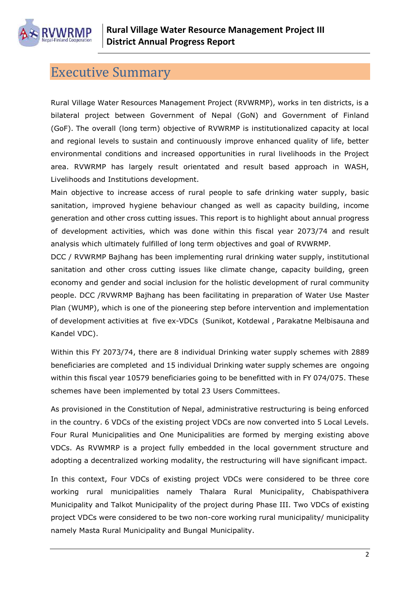

# <span id="page-2-0"></span>Executive Summary

Rural Village Water Resources Management Project (RVWRMP), works in ten districts, is a bilateral project between Government of Nepal (GoN) and Government of Finland (GoF). The overall (long term) objective of RVWRMP is institutionalized capacity at local and regional levels to sustain and continuously improve enhanced quality of life, better environmental conditions and increased opportunities in rural livelihoods in the Project area. RVWRMP has largely result orientated and result based approach in WASH, Livelihoods and Institutions development.

Main objective to increase access of rural people to safe drinking water supply, basic sanitation, improved hygiene behaviour changed as well as capacity building, income generation and other cross cutting issues. This report is to highlight about annual progress of development activities, which was done within this fiscal year 2073/74 and result analysis which ultimately fulfilled of long term objectives and goal of RVWRMP.

DCC / RVWRMP Bajhang has been implementing rural drinking water supply, institutional sanitation and other cross cutting issues like climate change, capacity building, green economy and gender and social inclusion for the holistic development of rural community people. DCC /RVWRMP Bajhang has been facilitating in preparation of Water Use Master Plan (WUMP), which is one of the pioneering step before intervention and implementation of development activities at five ex-VDCs (Sunikot, Kotdewal , Parakatne Melbisauna and Kandel VDC).

Within this FY 2073/74, there are 8 individual Drinking water supply schemes with 2889 beneficiaries are completed and 15 individual Drinking water supply schemes are ongoing within this fiscal year 10579 beneficiaries going to be benefitted with in FY 074/075. These schemes have been implemented by total 23 Users Committees.

As provisioned in the Constitution of Nepal, administrative restructuring is being enforced in the country. 6 VDCs of the existing project VDCs are now converted into 5 Local Levels. Four Rural Municipalities and One Municipalities are formed by merging existing above VDCs. As RVWMRP is a project fully embedded in the local government structure and adopting a decentralized working modality, the restructuring will have significant impact.

In this context, Four VDCs of existing project VDCs were considered to be three core working rural municipalities namely Thalara Rural Municipality, Chabispathivera Municipality and Talkot Municipality of the project during Phase III. Two VDCs of existing project VDCs were considered to be two non-core working rural municipality/ municipality namely Masta Rural Municipality and Bungal Municipality.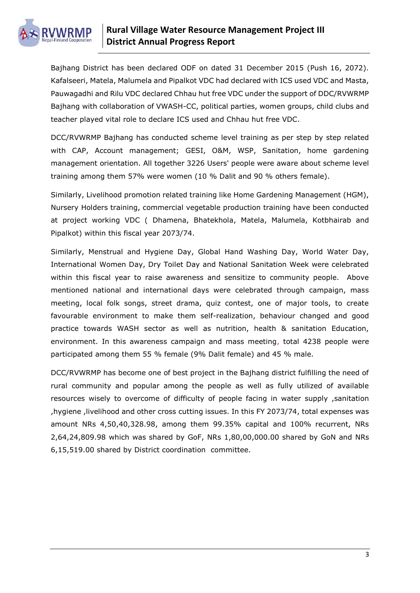

Bajhang District has been declared ODF on dated 31 December 2015 (Push 16, 2072). Kafalseeri, Matela, Malumela and Pipalkot VDC had declared with ICS used VDC and Masta, Pauwagadhi and Rilu VDC declared Chhau hut free VDC under the support of DDC/RVWRMP Bajhang with collaboration of VWASH-CC, political parties, women groups, child clubs and teacher played vital role to declare ICS used and Chhau hut free VDC.

DCC/RVWRMP Bajhang has conducted scheme level training as per step by step related with CAP, Account management; GESI, O&M, WSP, Sanitation, home gardening management orientation. All together 3226 Users' people were aware about scheme level training among them 57% were women (10 % Dalit and 90 % others female).

Similarly, Livelihood promotion related training like Home Gardening Management (HGM), Nursery Holders training, commercial vegetable production training have been conducted at project working VDC ( Dhamena, Bhatekhola, Matela, Malumela, Kotbhairab and Pipalkot) within this fiscal year 2073/74.

Similarly, Menstrual and Hygiene Day, Global Hand Washing Day, World Water Day, International Women Day, Dry Toilet Day and National Sanitation Week were celebrated within this fiscal year to raise awareness and sensitize to community people. Above mentioned national and international days were celebrated through campaign, mass meeting, local folk songs, street drama, quiz contest, one of major tools, to create favourable environment to make them self-realization, behaviour changed and good practice towards WASH sector as well as nutrition, health & sanitation Education, environment. In this awareness campaign and mass meeting, total 4238 people were participated among them 55 % female (9% Dalit female) and 45 % male.

DCC/RVWRMP has become one of best project in the Bajhang district fulfilling the need of rural community and popular among the people as well as fully utilized of available resources wisely to overcome of difficulty of people facing in water supply, sanitation ,hygiene ,livelihood and other cross cutting issues. In this FY 2073/74, total expenses was amount NRs 4,50,40,328.98, among them 99.35% capital and 100% recurrent, NRs 2,64,24,809.98 which was shared by GoF, NRs 1,80,00,000.00 shared by GoN and NRs 6,15,519.00 shared by District coordination committee.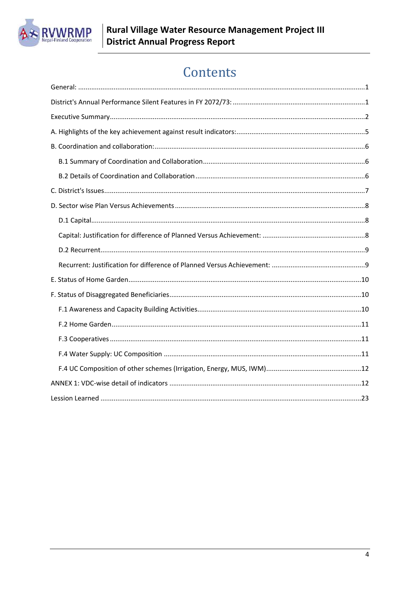

# Contents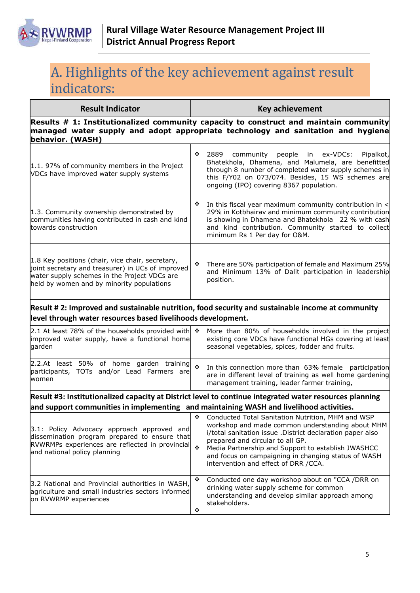

# <span id="page-5-0"></span>A. Highlights of the key achievement against result indicators:

| <b>Result Indicator</b>                                                                                                                                                                            | <b>Key achievement</b> |                                                                                                                                                                                                                                                                                                        |  |  |  |  |
|----------------------------------------------------------------------------------------------------------------------------------------------------------------------------------------------------|------------------------|--------------------------------------------------------------------------------------------------------------------------------------------------------------------------------------------------------------------------------------------------------------------------------------------------------|--|--|--|--|
| behavior. (WASH)                                                                                                                                                                                   |                        | Results $#$ 1: Institutionalized community capacity to construct and maintain community<br>managed water supply and adopt appropriate technology and sanitation and hygiene                                                                                                                            |  |  |  |  |
| 1.1. 97% of community members in the Project<br>VDCs have improved water supply systems                                                                                                            | ❖                      | 2889<br>ex-VDCs:<br>community<br>people in<br>Pipalkot,<br>Bhatekhola, Dhamena, and Malumela, are benefitted<br>through 8 number of completed water supply schemes in<br>this F/Y02 on 073/074. Besides, 15 WS schemes are<br>ongoing (IPO) covering 8367 population.                                  |  |  |  |  |
| 1.3. Community ownership demonstrated by<br>communities having contributed in cash and kind<br>towards construction                                                                                | ❖                      | In this fiscal year maximum community contribution in <<br>29% in Kotbhairav and minimum community contribution<br>is showing in Dhamena and Bhatekhola 22 % with cash<br>and kind contribution. Community started to collect<br>minimum Rs 1 Per day for O&M.                                         |  |  |  |  |
| 1.8 Key positions (chair, vice chair, secretary,<br>joint secretary and treasurer) in UCs of improved<br>water supply schemes in the Project VDCs are<br>held by women and by minority populations | ❖                      | There are 50% participation of female and Maximum 25%<br>and Minimum 13% of Dalit participation in leadership<br>position.                                                                                                                                                                             |  |  |  |  |
| level through water resources based livelihoods development.                                                                                                                                       |                        | Result # 2: Improved and sustainable nutrition, food security and sustainable income at community                                                                                                                                                                                                      |  |  |  |  |
| 2.1 At least 78% of the households provided with $\cdot$<br>improved water supply, have a functional home<br>garden                                                                                |                        | More than 80% of households involved in the project<br>existing core VDCs have functional HGs covering at least<br>seasonal vegetables, spices, fodder and fruits.                                                                                                                                     |  |  |  |  |
| 2.2.At least 50% of home garden training<br>participants, TOTs and/or Lead Farmers are<br>women                                                                                                    | $\bullet$              | In this connection more than 63% female participation<br>are in different level of training as well home gardening<br>management training, leader farmer training,                                                                                                                                     |  |  |  |  |
|                                                                                                                                                                                                    |                        | Result #3: Institutionalized capacity at District level to continue integrated water resources planning                                                                                                                                                                                                |  |  |  |  |
| and support communities in implementing and maintaining WASH and livelihood activities.                                                                                                            |                        | Conducted Total Sanitation Nutrition, MHM and WSP                                                                                                                                                                                                                                                      |  |  |  |  |
| 3.1: Policy Advocacy approach approved and<br>dissemination program prepared to ensure that<br>RVWRMPs experiences are reflected in provincial ₺<br>and national policy planning                   |                        | workshop and made common understanding about MHM<br>i/total sanitation issue .District declaration paper also<br>prepared and circular to all GP.<br>Media Partnership and Support to establish JWASHCC<br>and focus on campaigning in changing status of WASH<br>intervention and effect of DRR /CCA. |  |  |  |  |
| 3.2 National and Provincial authorities in WASH,<br>agriculture and small industries sectors informed<br>on RVWRMP experiences                                                                     | ❖<br>❖                 | Conducted one day workshop about on "CCA /DRR on<br>drinking water supply scheme for common<br>understanding and develop similar approach among<br>stakeholders.                                                                                                                                       |  |  |  |  |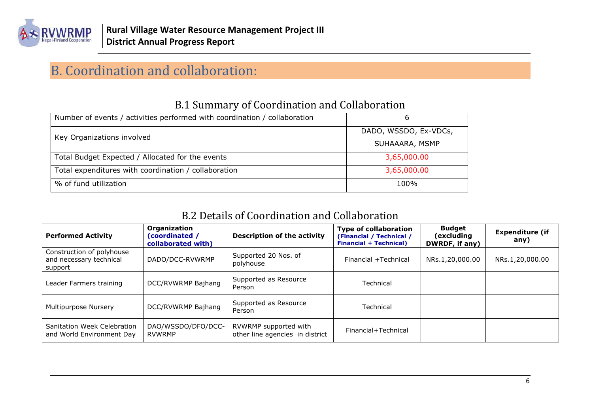

# B. Coordination and collaboration:

| Number of events / activities performed with coordination / collaboration | h                     |
|---------------------------------------------------------------------------|-----------------------|
| Key Organizations involved                                                | DADO, WSSDO, Ex-VDCs, |
|                                                                           | SUHAAARA, MSMP        |
| Total Budget Expected / Allocated for the events                          | 3,65,000.00           |
| Total expenditures with coordination / collaboration                      | 3,65,000.00           |
| % of fund utilization                                                     | 100%                  |

### B.1 Summary of Coordination and Collaboration

### B.2 Details of Coordination and Collaboration

<span id="page-6-2"></span><span id="page-6-1"></span><span id="page-6-0"></span>

| <b>Performed Activity</b>                                       | Organization<br>(coordinated /<br>collaborated with) | <b>Description of the activity</b>                       | <b>Type of collaboration</b><br>(Financial / Technical /<br><b>Financial + Technical)</b> | <b>Budget</b><br>(excluding<br>DWRDF, if any) | <b>Expenditure (if</b><br>any) |
|-----------------------------------------------------------------|------------------------------------------------------|----------------------------------------------------------|-------------------------------------------------------------------------------------------|-----------------------------------------------|--------------------------------|
| Construction of polyhouse<br>and necessary technical<br>support | DADO/DCC-RVWRMP                                      | Supported 20 Nos. of<br>polyhouse                        | Financial +Technical                                                                      | NRs.1,20,000.00                               | NRs.1,20,000.00                |
| Leader Farmers training                                         | DCC/RVWRMP Bajhang                                   | Supported as Resource<br>Person                          | Technical                                                                                 |                                               |                                |
| Multipurpose Nursery                                            | DCC/RVWRMP Bajhang                                   | Supported as Resource<br>Person                          | Technical                                                                                 |                                               |                                |
| Sanitation Week Celebration<br>and World Environment Day        | DAO/WSSDO/DFO/DCC-<br>RVWRMP                         | RVWRMP supported with<br>other line agencies in district | Financial+Technical                                                                       |                                               |                                |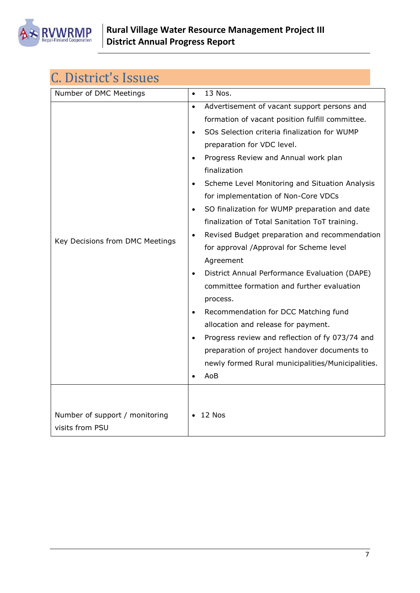

<span id="page-7-0"></span>

| C. District's Issues                              |                                                                                                                                                                                                                                                                                                                                                                                                                                                                                                                                                                                                                                                                                                                                                                                                                                                                                                                                           |
|---------------------------------------------------|-------------------------------------------------------------------------------------------------------------------------------------------------------------------------------------------------------------------------------------------------------------------------------------------------------------------------------------------------------------------------------------------------------------------------------------------------------------------------------------------------------------------------------------------------------------------------------------------------------------------------------------------------------------------------------------------------------------------------------------------------------------------------------------------------------------------------------------------------------------------------------------------------------------------------------------------|
| Number of DMC Meetings                            | 13 Nos.<br>$\bullet$                                                                                                                                                                                                                                                                                                                                                                                                                                                                                                                                                                                                                                                                                                                                                                                                                                                                                                                      |
| Key Decisions from DMC Meetings                   | Advertisement of vacant support persons and<br>$\bullet$<br>formation of vacant position fulfill committee.<br>SOs Selection criteria finalization for WUMP<br>$\bullet$<br>preparation for VDC level.<br>Progress Review and Annual work plan<br>finalization<br>Scheme Level Monitoring and Situation Analysis<br>for implementation of Non-Core VDCs<br>SO finalization for WUMP preparation and date<br>finalization of Total Sanitation ToT training.<br>Revised Budget preparation and recommendation<br>$\bullet$<br>for approval /Approval for Scheme level<br>Agreement<br>District Annual Performance Evaluation (DAPE)<br>committee formation and further evaluation<br>process.<br>Recommendation for DCC Matching fund<br>allocation and release for payment.<br>Progress review and reflection of fy 073/74 and<br>preparation of project handover documents to<br>newly formed Rural municipalities/Municipalities.<br>AoB |
| Number of support / monitoring<br>visits from PSU | 12 Nos                                                                                                                                                                                                                                                                                                                                                                                                                                                                                                                                                                                                                                                                                                                                                                                                                                                                                                                                    |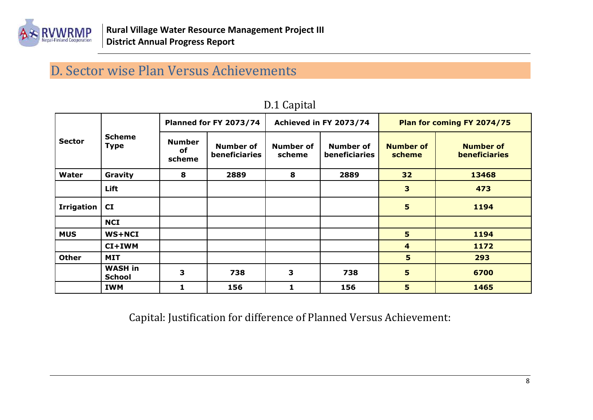

# D. Sector wise Plan Versus Achievements

<span id="page-8-0"></span>

|                   |                                 |                               | <b>Planned for FY 2073/74</b> |                     | Achieved in FY 2073/74<br>Plan for coming FY 2074/75 |                            |                                   |
|-------------------|---------------------------------|-------------------------------|-------------------------------|---------------------|------------------------------------------------------|----------------------------|-----------------------------------|
| <b>Sector</b>     | <b>Scheme</b><br><b>Type</b>    | <b>Number</b><br>of<br>scheme | Number of<br>beneficiaries    | Number of<br>scheme | Number of<br>beneficiaries                           | <b>Number of</b><br>scheme | <b>Number of</b><br>beneficiaries |
| Water             | Gravity                         | 8                             | 2889                          | 8                   | 2889                                                 | 32                         | 13468                             |
|                   | Lift                            |                               |                               |                     |                                                      | 3                          | 473                               |
| <b>Irrigation</b> | CI                              |                               |                               |                     |                                                      | 5                          | 1194                              |
|                   | <b>NCI</b>                      |                               |                               |                     |                                                      |                            |                                   |
| <b>MUS</b>        | <b>WS+NCI</b>                   |                               |                               |                     |                                                      | 5                          | 1194                              |
|                   | CI+IWM                          |                               |                               |                     |                                                      | 4                          | 1172                              |
| <b>Other</b>      | <b>MIT</b>                      |                               |                               |                     |                                                      | 5                          | 293                               |
|                   | <b>WASH in</b><br><b>School</b> | 3                             | 738                           | 3                   | 738                                                  | 5                          | 6700                              |
|                   | <b>IWM</b>                      | 1.                            | 156                           | 1                   | 156                                                  | 5                          | 1465                              |

### D.1 Capital

<span id="page-8-2"></span><span id="page-8-1"></span>Capital: Justification for difference of Planned Versus Achievement: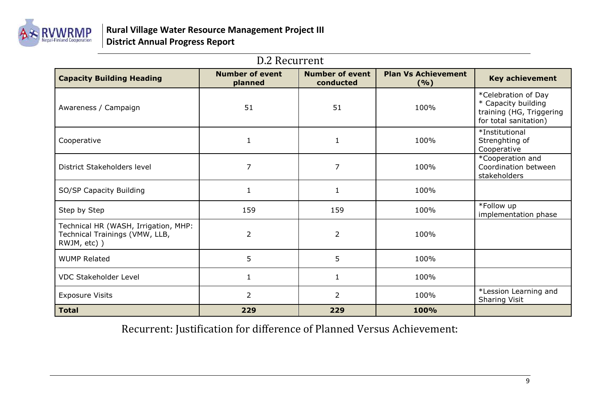

### D.2 Recurrent

| <b>Capacity Building Heading</b>                                                       | <b>Number of event</b><br>planned | <b>Number of event</b><br>conducted | <b>Plan Vs Achievement</b><br>(%) | <b>Key achievement</b>                                                                          |
|----------------------------------------------------------------------------------------|-----------------------------------|-------------------------------------|-----------------------------------|-------------------------------------------------------------------------------------------------|
| Awareness / Campaign                                                                   | 51                                | 51                                  | 100%                              | *Celebration of Day<br>* Capacity building<br>training (HG, Triggering<br>for total sanitation) |
| Cooperative                                                                            | $\mathbf{1}$                      | $\mathbf{1}$                        | 100%                              | *Institutional<br>Strenghting of<br>Cooperative                                                 |
| District Stakeholders level                                                            | $\overline{7}$                    | $\overline{7}$                      | 100%                              | *Cooperation and<br>Coordination between<br>stakeholders                                        |
| SO/SP Capacity Building                                                                |                                   | 1                                   | 100%                              |                                                                                                 |
| Step by Step                                                                           | 159                               | 159                                 | 100%                              | *Follow up<br>implementation phase                                                              |
| Technical HR (WASH, Irrigation, MHP:<br>Technical Trainings (VMW, LLB,<br>RWJM, etc) ) | $\overline{2}$                    | $\overline{2}$                      | 100%                              |                                                                                                 |
| <b>WUMP Related</b>                                                                    | 5                                 | 5                                   | 100%                              |                                                                                                 |
| <b>VDC Stakeholder Level</b>                                                           |                                   | $\mathbf{1}$                        | 100%                              |                                                                                                 |
| <b>Exposure Visits</b>                                                                 | $\overline{2}$                    | $\overline{2}$                      | 100%                              | *Lession Learning and<br>Sharing Visit                                                          |
| Total                                                                                  | 229                               | 229                                 | 100%                              |                                                                                                 |

<span id="page-9-1"></span><span id="page-9-0"></span>Recurrent: Justification for difference of Planned Versus Achievement: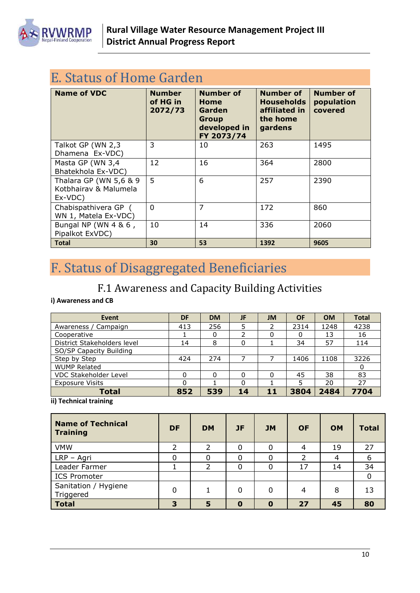

<span id="page-10-0"></span>

| E. Status of Home Garden                                   |                                      |                                                                           |                                                                               |                                           |  |  |  |  |
|------------------------------------------------------------|--------------------------------------|---------------------------------------------------------------------------|-------------------------------------------------------------------------------|-------------------------------------------|--|--|--|--|
| <b>Name of VDC</b>                                         | <b>Number</b><br>of HG in<br>2072/73 | <b>Number of</b><br>Home<br>Garden<br>Group<br>developed in<br>FY 2073/74 | <b>Number of</b><br><b>Households</b><br>affiliated in<br>the home<br>gardens | <b>Number of</b><br>population<br>covered |  |  |  |  |
| Talkot GP (WN 2,3<br>Dhamena Ex-VDC)                       | 3                                    | 10                                                                        | 263                                                                           | 1495                                      |  |  |  |  |
| Masta GP (WN 3,4<br>Bhatekhola Ex-VDC)                     | 12                                   | 16                                                                        | 364                                                                           | 2800                                      |  |  |  |  |
| Thalara GP (WN 5,6 & 9<br>Kotbhairay & Malumela<br>Ex-VDC) | 5                                    | 6                                                                         | 257                                                                           | 2390                                      |  |  |  |  |
| Chabispathivera GP (<br>WN 1, Matela Ex-VDC)               | $\Omega$                             | 7                                                                         | 172                                                                           | 860                                       |  |  |  |  |
| Bungal NP (WN 4 & 6,<br>Pipalkot ExVDC)                    | 10                                   | 14                                                                        | 336                                                                           | 2060                                      |  |  |  |  |
| <b>Total</b>                                               | 30                                   | 53                                                                        | 1392                                                                          | 9605                                      |  |  |  |  |

# <span id="page-10-1"></span>F. Status of Disaggregated Beneficiaries

# F.1 Awareness and Capacity Building Activities

#### <span id="page-10-2"></span>**i) Awareness and CB**

| Event                       | DF  | <b>DM</b> | JF | JM | <b>OF</b> | <b>OM</b> | <b>Total</b> |
|-----------------------------|-----|-----------|----|----|-----------|-----------|--------------|
| Awareness / Campaign        | 413 | 256       | 5  | 2  | 2314      | 1248      | 4238         |
| Cooperative                 |     |           | า  | 0  | 0         | 13        | 16           |
| District Stakeholders level | 14  | 8         | 0  |    | 34        | 57        | 114          |
| SO/SP Capacity Building     |     |           |    |    |           |           |              |
| Step by Step                | 424 | 274       |    |    | 1406      | 1108      | 3226         |
| <b>WUMP Related</b>         |     |           |    |    |           |           | 0            |
| VDC Stakeholder Level       |     |           | 0  | 0  | 45        | 38        | 83           |
| <b>Exposure Visits</b>      |     |           | 0  |    |           | 20        | 27           |
| <b>Total</b>                | 852 | 539       | 14 | 11 | 3804      | 2484      | 7704         |

**ii) Technical training**

| <b>Name of Technical</b><br><b>Training</b> | <b>DF</b> | <b>DM</b>                | <b>JF</b>   | <b>JM</b> | <b>OF</b> | <b>OM</b> | <b>Total</b> |
|---------------------------------------------|-----------|--------------------------|-------------|-----------|-----------|-----------|--------------|
| <b>VMW</b>                                  |           | フ                        | 0           | 0         | 4         | 19        | 27           |
| LRP - Agri                                  | 0         | 0                        | 0           |           | ว         | 4         | 6            |
| Leader Farmer                               |           | $\overline{\phantom{a}}$ | $\mathbf 0$ | 0         | 17        | 14        | 34           |
| <b>ICS Promoter</b>                         |           |                          |             |           |           |           | 0            |
| Sanitation / Hygiene<br>Triggered           | 0         |                          | 0           | 0         | 4         | 8         | 13           |
| <b>Total</b>                                | 3         | 5                        | $\mathbf 0$ | 0         | 27        | 45        | 80           |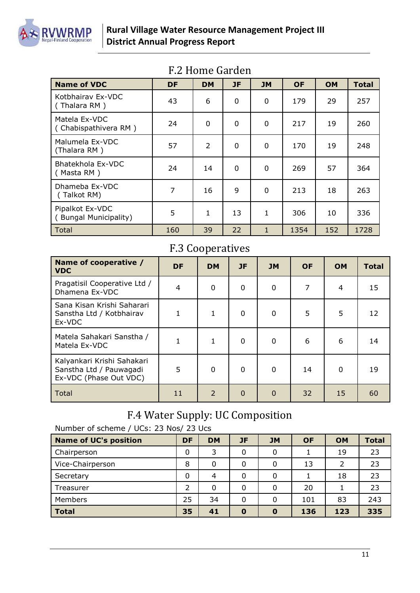

<span id="page-11-0"></span>

| <b>Name of VDC</b>                       | DF             | <b>DM</b>      | JF | <b>JM</b>    | <b>OF</b> | <b>OM</b> | <b>Total</b> |
|------------------------------------------|----------------|----------------|----|--------------|-----------|-----------|--------------|
| Kotbhairay Ex-VDC<br>(Thalara RM)        | 43             | 6              | 0  | 0            | 179       | 29        | 257          |
| Matela Ex-VDC<br>(Chabispathivera RM)    | 24             | 0              | 0  | $\Omega$     | 217       | 19        | 260          |
| Malumela Ex-VDC<br>(Thalara RM)          | 57             | $\overline{2}$ | 0  | $\Omega$     | 170       | 19        | 248          |
| Bhatekhola Ex-VDC<br>(Masta RM)          | 24             | 14             | 0  | 0            | 269       | 57        | 364          |
| Dhameba Ex-VDC<br>(Talkot RM)            | $\overline{7}$ | 16             | 9  | $\Omega$     | 213       | 18        | 263          |
| Pipalkot Ex-VDC<br>(Bungal Municipality) | 5              | $\mathbf{1}$   | 13 | $\mathbf{1}$ | 306       | 10        | 336          |
| Total                                    | 160            | 39             | 22 | $\mathbf{1}$ | 1354      | 152       | 1728         |

## F.2 Home Garden

### F.3 Cooperatives

<span id="page-11-1"></span>

| Name of cooperative /<br><b>VDC</b>                                             | <b>DF</b> | <b>DM</b>      | <b>JF</b> | <b>JM</b>    | <b>OF</b> | <b>OM</b> | <b>Total</b> |
|---------------------------------------------------------------------------------|-----------|----------------|-----------|--------------|-----------|-----------|--------------|
| Pragatisil Cooperative Ltd /<br>Dhamena Ex-VDC                                  | 4         | 0              | 0         | $\Omega$     | 7         | 4         | 15           |
| Sana Kisan Krishi Saharari<br>Sanstha Ltd / Kotbhairav<br>Ex-VDC                | 1         | 1              | 0         | $\mathbf{0}$ | 5         | 5         | 12           |
| Matela Sahakari Sanstha /<br>Matela Ex-VDC                                      |           | 1              | 0         | $\mathbf 0$  | 6         | 6         | 14           |
| Kalyankari Krishi Sahakari<br>Sanstha Ltd / Pauwagadi<br>Ex-VDC (Phase Out VDC) | 5         | $\Omega$       | $\Omega$  | $\Omega$     | 14        | $\Omega$  | 19           |
| Total                                                                           | 11        | $\overline{2}$ | $\Omega$  | $\Omega$     | 32        | 15        | 60           |

## F.4 Water Supply: UC Composition

<span id="page-11-2"></span>Number of scheme / UCs: 23 Nos/ 23 Ucs

| <b>Name of UC's position</b> | DF | <b>DM</b> | JF       | <b>JM</b>    | <b>OF</b> | <b>OM</b> | <b>Total</b> |
|------------------------------|----|-----------|----------|--------------|-----------|-----------|--------------|
| Chairperson                  | 0  | 3         | 0        |              |           | 19        | 23           |
| Vice-Chairperson             | 8  | 0         | 0        | 0            | 13        | 2         | 23           |
| Secretary                    | 0  | 4         | 0        | 0            |           | 18        | 23           |
| Treasurer                    |    | 0         | 0        |              | 20        |           | 23           |
| Members                      | 25 | 34        | 0        | 0            | 101       | 83        | 243          |
| <b>Total</b>                 | 35 | 41        | $\bf{0}$ | $\mathbf{o}$ | 136       | 123       | 335          |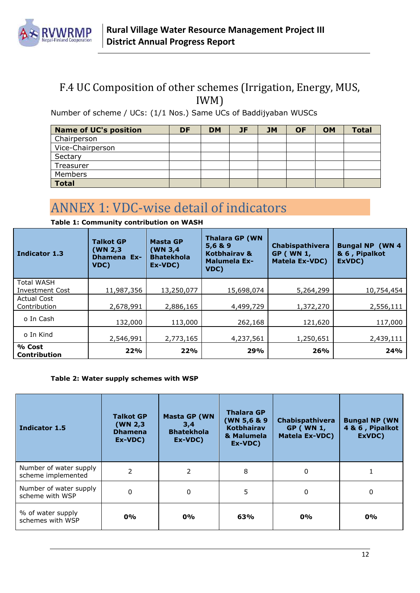

### <span id="page-12-0"></span>F.4 UC Composition of other schemes (Irrigation, Energy, MUS, IWM)

Number of scheme / UCs: (1/1 Nos.) Same UCs of Baddijyaban WUSCs

| <b>Name of UC's position</b> | DF | <b>DM</b> | JF | <b>JM</b> | <b>OF</b> | <b>OM</b> | <b>Total</b> |
|------------------------------|----|-----------|----|-----------|-----------|-----------|--------------|
| Chairperson                  |    |           |    |           |           |           |              |
| Vice-Chairperson             |    |           |    |           |           |           |              |
| Sectary                      |    |           |    |           |           |           |              |
| Treasurer                    |    |           |    |           |           |           |              |
| Members                      |    |           |    |           |           |           |              |
| <b>Total</b>                 |    |           |    |           |           |           |              |

# <span id="page-12-1"></span>ANNEX 1: VDC-wise detail of indicators

| Indicator 1.3                               | <b>Talkot GP</b><br>(WN 2,3<br><b>Dhamena Ex-</b><br>VDC) | <b>Masta GP</b><br>(WN 3,4<br><b>Bhatekhola</b><br>Ex-VDC) | <b>Thalara GP (WN</b><br>5,6 & 9<br>Kotbhairav &<br><b>Malumela Ex-</b><br>VDC) | <b>Chabispathivera</b><br><b>GP (WN 1,</b><br><b>Matela Ex-VDC)</b> | <b>Bungal NP (WN 4</b><br>& 6, Pipalkot<br>ExVDC) |
|---------------------------------------------|-----------------------------------------------------------|------------------------------------------------------------|---------------------------------------------------------------------------------|---------------------------------------------------------------------|---------------------------------------------------|
| <b>Total WASH</b><br><b>Investment Cost</b> | 11,987,356                                                | 13,250,077                                                 | 15,698,074                                                                      | 5,264,299                                                           | 10,754,454                                        |
| <b>Actual Cost</b><br>Contribution          | 2,678,991                                                 | 2,886,165                                                  | 4,499,729                                                                       | 1,372,270                                                           | 2,556,111                                         |
| o In Cash                                   | 132,000                                                   | 113,000                                                    | 262,168                                                                         | 121,620                                                             | 117,000                                           |
| o In Kind                                   | 2,546,991                                                 | 2,773,165                                                  | 4,237,561                                                                       | 1,250,651                                                           | 2,439,111                                         |
| % Cost<br><b>Contribution</b>               | 22%                                                       | 22%                                                        | 29%                                                                             | 26%                                                                 | 24%                                               |

**Table 1: Community contribution on WASH**

#### **Table 2: Water supply schemes with WSP**

| Indicator 1.5                                | <b>Talkot GP</b><br>(WN 2,3)<br><b>Dhamena</b><br>Ex-VDC) | <b>Masta GP (WN</b><br>3,4<br><b>Bhatekhola</b><br>Ex-VDC) | <b>Thalara GP</b><br>(WN 5,6 & 9<br><b>Kotbhairav</b><br>& Malumela<br>Ex-VDC) | Chabispathivera<br><b>GP (WN 1,</b><br><b>Matela Ex-VDC)</b> | <b>Bungal NP (WN</b><br>4 & 6, Pipalkot<br>ExVDC) |
|----------------------------------------------|-----------------------------------------------------------|------------------------------------------------------------|--------------------------------------------------------------------------------|--------------------------------------------------------------|---------------------------------------------------|
| Number of water supply<br>scheme implemented | 2                                                         | 2                                                          | 8                                                                              | 0                                                            |                                                   |
| Number of water supply<br>scheme with WSP    | 0                                                         | 5<br>0                                                     |                                                                                | 0                                                            | $\mathbf 0$                                       |
| % of water supply<br>schemes with WSP        | 0%                                                        | 0%                                                         | 63%                                                                            | 0%                                                           | 0%                                                |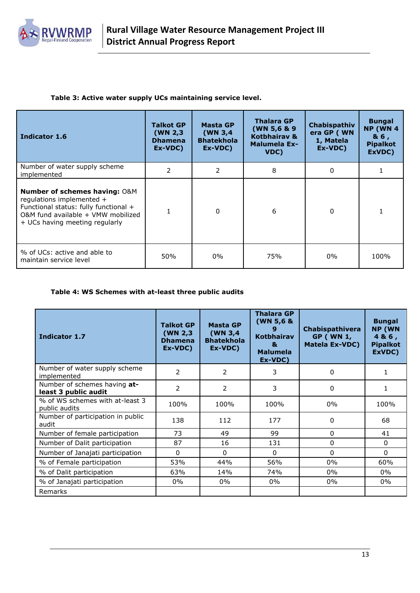

#### **Table 3: Active water supply UCs maintaining service level.**

| Indicator 1.6                                                                                                                                                                          | <b>Talkot GP</b><br>(WN $2,3$ )<br><b>Dhamena</b><br>Ex-VDC) | Masta GP<br>(WN $3,4$<br><b>Bhatekhola</b><br>Ex-VDC) | <b>Thalara GP</b><br>(WN 5,6 & 9)<br>Kotbhairav &<br><b>Malumela Ex-</b><br>VDC) | Chabispathiv<br>era GP (WN<br>1, Matela<br>Ex-VDC) | <b>Bungal</b><br><b>NP (WN 4)</b><br>& 6,<br><b>Pipalkot</b><br>ExVDC) |
|----------------------------------------------------------------------------------------------------------------------------------------------------------------------------------------|--------------------------------------------------------------|-------------------------------------------------------|----------------------------------------------------------------------------------|----------------------------------------------------|------------------------------------------------------------------------|
| Number of water supply scheme<br>implemented                                                                                                                                           | $\mathcal{P}$                                                | $\mathcal{P}$                                         | 8                                                                                | $\Omega$                                           |                                                                        |
| <b>Number of schemes having: O&amp;M</b><br>regulations implemented +<br>Functional status: fully functional +<br>O&M fund available + VMW mobilized<br>+ UCs having meeting regularly |                                                              | $\Omega$                                              | 6                                                                                | $\Omega$                                           |                                                                        |
| % of UCs: active and able to<br>maintain service level                                                                                                                                 | 50%                                                          | $0\%$                                                 | 75%                                                                              | 0%                                                 | 100%                                                                   |

#### **Table 4: WS Schemes with at-least three public audits**

| <b>Indicator 1.7</b>                                 | <b>Talkot GP</b><br>(WN 2,3)<br><b>Dhamena</b><br>Ex-VDC) | <b>Masta GP</b><br>(WN <sub>3,4</sub> )<br><b>Bhatekhola</b><br>Ex-VDC) | <b>Thalara GP</b><br>(WN 5,6 &<br><b>Kotbhairav</b><br>&<br><b>Malumela</b><br>Ex-VDC) | Chabispathivera<br><b>GP (WN 1,</b><br><b>Matela Ex-VDC)</b> | <b>Bungal</b><br><b>NP (WN</b><br>4& 6,<br><b>Pipalkot</b><br>ExVDC) |
|------------------------------------------------------|-----------------------------------------------------------|-------------------------------------------------------------------------|----------------------------------------------------------------------------------------|--------------------------------------------------------------|----------------------------------------------------------------------|
| Number of water supply scheme<br>implemented         | $\mathcal{P}$                                             | 2                                                                       | 3                                                                                      | 0                                                            | 1                                                                    |
| Number of schemes having at-<br>least 3 public audit | $\overline{2}$                                            | $\overline{2}$                                                          | 3                                                                                      | 0                                                            | 1                                                                    |
| % of WS schemes with at-least 3<br>public audits     | 100%                                                      | 100%                                                                    | 100%                                                                                   | $0\%$                                                        | 100%                                                                 |
| Number of participation in public<br>audit           | 138                                                       | 112                                                                     | 177                                                                                    | 0                                                            | 68                                                                   |
| Number of female participation                       | 73                                                        | 49                                                                      | 99                                                                                     | 0                                                            | 41                                                                   |
| Number of Dalit participation                        | 87                                                        | 16                                                                      | 131                                                                                    | 0                                                            | $\mathbf{0}$                                                         |
| Number of Janajati participation                     | 0                                                         | 0                                                                       | 0                                                                                      | $\mathbf{0}$                                                 | $\mathbf{0}$                                                         |
| % of Female participation                            | 53%                                                       | 44%                                                                     | 56%                                                                                    | $0\%$                                                        | 60%                                                                  |
| % of Dalit participation                             | 63%                                                       | 14%                                                                     | 74%                                                                                    | $0\%$                                                        | $0\%$                                                                |
| % of Janajati participation                          | $0\%$                                                     | $0\%$                                                                   | $0\%$                                                                                  | $0\%$                                                        | $0\%$                                                                |
| Remarks                                              |                                                           |                                                                         |                                                                                        |                                                              |                                                                      |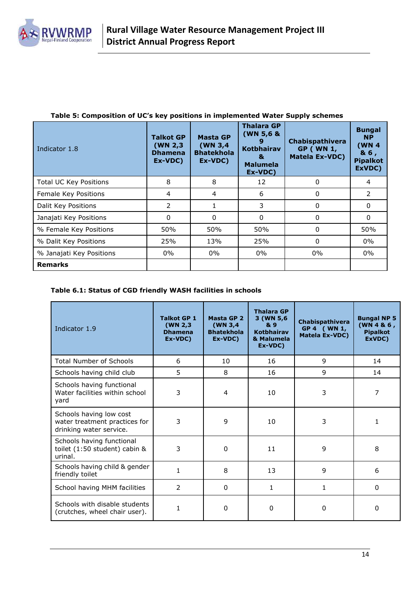

| Indicator 1.8                 | <b>Talkot GP</b><br>(WN 2,3)<br><b>Dhamena</b><br>Ex-VDC) | <b>Masta GP</b><br>(WN 3,4<br><b>Bhatekhola</b><br>Ex-VDC) | <b>Thalara GP</b><br>(WN 5,6 &<br><b>Kotbhairav</b><br>&<br><b>Malumela</b><br>Ex-VDC) | Chabispathivera<br><b>GP (WN 1,</b><br><b>Matela Ex-VDC)</b> | <b>Bungal</b><br><b>NP</b><br>(WN <sub>4</sub> )<br>& 6,<br><b>Pipalkot</b><br>ExVDC) |
|-------------------------------|-----------------------------------------------------------|------------------------------------------------------------|----------------------------------------------------------------------------------------|--------------------------------------------------------------|---------------------------------------------------------------------------------------|
| <b>Total UC Key Positions</b> | 8                                                         | 8                                                          | 12                                                                                     | 0                                                            | 4                                                                                     |
| Female Key Positions          | 4                                                         | 4                                                          | 6                                                                                      | 0                                                            | $\mathcal{P}$                                                                         |
| Dalit Key Positions           | 2                                                         |                                                            | 3                                                                                      | 0                                                            | $\Omega$                                                                              |
| Janajati Key Positions        | $\mathbf{0}$                                              | 0                                                          | 0                                                                                      | 0                                                            | $\Omega$                                                                              |
| % Female Key Positions        | 50%                                                       | 50%                                                        | 50%                                                                                    | $\Omega$                                                     | 50%                                                                                   |
| % Dalit Key Positions         | 25%                                                       | 13%                                                        | 25%                                                                                    | $\Omega$                                                     | $0\%$                                                                                 |
| % Janajati Key Positions      | $0\%$                                                     | $0\%$                                                      | $0\%$                                                                                  | $0\%$                                                        | $0\%$                                                                                 |
| <b>Remarks</b>                |                                                           |                                                            |                                                                                        |                                                              |                                                                                       |

#### **Table 5: Composition of UC's key positions in implemented Water Supply schemes**

#### **Table 6.1: Status of CGD friendly WASH facilities in schools**

| Indicator 1.9                                                                       | <b>Talkot GP 1</b><br>(WN 2,3)<br><b>Dhamena</b><br>Ex-VDC) | Masta GP 2<br>(WN <sub>3,4</sub> )<br><b>Bhatekhola</b><br>Ex-VDC) | <b>Thalara GP</b><br>3 (WN 5,6<br>& 9<br><b>Kotbhairav</b><br>& Malumela<br>Ex-VDC) | Chabispathivera<br>GP 4 (WN 1,<br>Matela Ex-VDC) | <b>Bungal NP 5</b><br>(WN 4 8 6,<br><b>Pipalkot</b><br>ExVDC) |
|-------------------------------------------------------------------------------------|-------------------------------------------------------------|--------------------------------------------------------------------|-------------------------------------------------------------------------------------|--------------------------------------------------|---------------------------------------------------------------|
| <b>Total Number of Schools</b>                                                      | 6                                                           | 10                                                                 | 16                                                                                  | 9                                                | 14                                                            |
| Schools having child club                                                           | 5                                                           | 8                                                                  | 16                                                                                  | 9                                                | 14                                                            |
| Schools having functional<br>Water facilities within school<br>yard                 | 3                                                           | 4                                                                  | 10                                                                                  | 3                                                | 7                                                             |
| Schools having low cost<br>water treatment practices for<br>drinking water service. | 3                                                           | 9                                                                  | 10                                                                                  | 3                                                | 1                                                             |
| Schools having functional<br>toilet (1:50 student) cabin &<br>urinal.               | 3                                                           | $\mathbf 0$                                                        | 11                                                                                  | 9                                                | 8                                                             |
| Schools having child & gender<br>friendly toilet                                    | $\mathbf{1}$                                                | 8                                                                  | 13                                                                                  | 9                                                | 6                                                             |
| School having MHM facilities                                                        | $\overline{2}$                                              | $\mathbf{0}$                                                       | 1                                                                                   | 1                                                | $\Omega$                                                      |
| Schools with disable students<br>(crutches, wheel chair user).                      | 1                                                           | 0                                                                  | $\Omega$                                                                            | 0                                                | 0                                                             |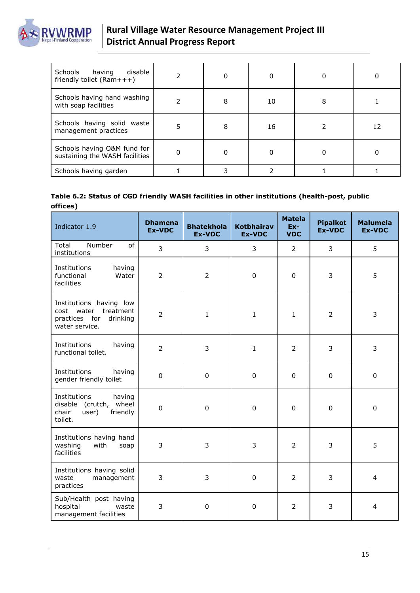

| Schools having<br>disable<br>friendly toilet $(Ram++)$        |   |   |    |   |    |
|---------------------------------------------------------------|---|---|----|---|----|
| Schools having hand washing<br>with soap facilities           |   | 8 | 10 | 8 |    |
| Schools having solid waste<br>management practices            | 5 | 8 | 16 |   | 12 |
| Schools having O&M fund for<br>sustaining the WASH facilities |   |   |    |   |    |
| Schools having garden                                         |   |   |    |   |    |

#### **Table 6.2: Status of CGD friendly WASH facilities in other institutions (health-post, public offices)**

| Indicator 1.9                                                                               | <b>Dhamena</b><br><b>Ex-VDC</b> | <b>Bhatekhola</b><br><b>Ex-VDC</b> | <b>Kotbhairav</b><br><b>Ex-VDC</b> | <b>Matela</b><br>$Ex-$<br><b>VDC</b> | <b>Pipalkot</b><br><b>Ex-VDC</b> | <b>Malumela</b><br><b>Ex-VDC</b> |
|---------------------------------------------------------------------------------------------|---------------------------------|------------------------------------|------------------------------------|--------------------------------------|----------------------------------|----------------------------------|
| Number<br><sub>of</sub><br>Total<br>institutions                                            | 3                               | 3                                  | 3                                  | $\overline{2}$                       | 3                                | 5                                |
| Institutions<br>having<br>functional<br>Water<br>facilities                                 | $\overline{2}$                  | $\overline{2}$                     | $\mathbf 0$                        | 0                                    | $\mathbf{3}$                     | 5                                |
| Institutions having low<br>cost water treatment<br>practices for drinking<br>water service. | $\overline{2}$                  | $\mathbf{1}$                       | $\mathbf{1}$                       | $\mathbf{1}$                         | $\overline{2}$                   | 3                                |
| Institutions<br>having<br>functional toilet.                                                | $\overline{2}$                  | 3                                  | $\mathbf{1}$                       | 2                                    | 3                                | 3                                |
| Institutions<br>having<br>gender friendly toilet                                            | $\mathbf 0$                     | $\mathbf 0$                        | $\mathbf 0$                        | 0                                    | $\mathbf 0$                      | $\mathbf 0$                      |
| Institutions<br>having<br>disable (crutch, wheel<br>chair<br>user)<br>friendly<br>toilet.   | $\mathbf 0$                     | $\mathbf 0$                        | $\mathbf 0$                        | 0                                    | $\pmb{0}$                        | $\pmb{0}$                        |
| Institutions having hand<br>washing<br>with<br>soap<br>facilities                           | 3                               | 3                                  | 3                                  | $\overline{2}$                       | 3                                | 5                                |
| Institutions having solid<br>waste<br>management<br>practices                               | 3                               | 3                                  | $\mathbf 0$                        | 2                                    | 3                                | 4                                |
| Sub/Health post having<br>hospital<br>waste<br>management facilities                        | 3                               | $\pmb{0}$                          | $\pmb{0}$                          | $\overline{2}$                       | 3                                | 4                                |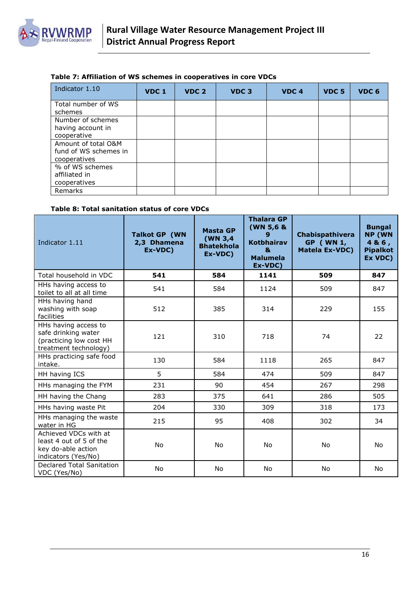

#### **Table 7: Affiliation of WS schemes in cooperatives in core VDCs**

| Indicator 1.10                                               | VDC <sub>1</sub> | VDC <sub>2</sub> | VDC <sub>3</sub> | VDC <sub>4</sub> | VDC <sub>5</sub> | VDC <sub>6</sub> |
|--------------------------------------------------------------|------------------|------------------|------------------|------------------|------------------|------------------|
| Total number of WS<br>schemes                                |                  |                  |                  |                  |                  |                  |
| Number of schemes<br>having account in<br>cooperative        |                  |                  |                  |                  |                  |                  |
| Amount of total O&M<br>fund of WS schemes in<br>cooperatives |                  |                  |                  |                  |                  |                  |
| % of WS schemes<br>affiliated in<br>cooperatives             |                  |                  |                  |                  |                  |                  |
| Remarks                                                      |                  |                  |                  |                  |                  |                  |

#### **Table 8: Total sanitation status of core VDCs**

| Indicator 1.11                                                                                  | <b>Talkot GP (WN</b><br>2,3 Dhamena<br>Ex-VDC) | <b>Masta GP</b><br>(WN 3,4)<br><b>Bhatekhola</b><br>Ex-VDC) | <b>Thalara GP</b><br>(WN 5,6 &<br>9<br><b>Kotbhairav</b><br>$\mathbf{a}$<br><b>Malumela</b><br>Ex-VDC) | <b>Chabispathivera</b><br><b>GP</b> ( WN 1,<br><b>Matela Ex-VDC)</b> | <b>Bungal</b><br><b>NP (WN</b><br>4 & 6,<br><b>Pipalkot</b><br>Ex VDC) |
|-------------------------------------------------------------------------------------------------|------------------------------------------------|-------------------------------------------------------------|--------------------------------------------------------------------------------------------------------|----------------------------------------------------------------------|------------------------------------------------------------------------|
| Total household in VDC                                                                          | 541                                            | 584                                                         | 1141                                                                                                   | 509                                                                  | 847                                                                    |
| HHs having access to<br>toilet to all at all time                                               | 541                                            | 584                                                         | 1124                                                                                                   | 509                                                                  | 847                                                                    |
| HHs having hand<br>washing with soap<br>facilities                                              | 512                                            | 385                                                         | 314                                                                                                    | 229                                                                  | 155                                                                    |
| HHs having access to<br>safe drinking water<br>(practicing low cost HH<br>treatment technology) | 121                                            | 310                                                         | 718                                                                                                    | 74                                                                   | 22                                                                     |
| HHs practicing safe food<br>intake.                                                             | 130                                            | 584                                                         | 1118                                                                                                   | 265                                                                  | 847                                                                    |
| HH having ICS                                                                                   | 5                                              | 584                                                         | 474                                                                                                    | 509                                                                  | 847                                                                    |
| HHs managing the FYM                                                                            | 231                                            | 90                                                          | 454                                                                                                    | 267                                                                  | 298                                                                    |
| HH having the Chang                                                                             | 283                                            | 375                                                         | 641                                                                                                    | 286                                                                  | 505                                                                    |
| HHs having waste Pit                                                                            | 204                                            | 330                                                         | 309                                                                                                    | 318                                                                  | 173                                                                    |
| HHs managing the waste<br>water in HG                                                           | 215                                            | 95                                                          | 408                                                                                                    | 302                                                                  | 34                                                                     |
| Achieved VDCs with at<br>least 4 out of 5 of the<br>key do-able action<br>indicators (Yes/No)   | <b>No</b>                                      | No.                                                         | <b>No</b>                                                                                              | No                                                                   | <b>No</b>                                                              |
| Declared Total Sanitation<br>VDC (Yes/No)                                                       | No                                             | No                                                          | No                                                                                                     | No                                                                   | No                                                                     |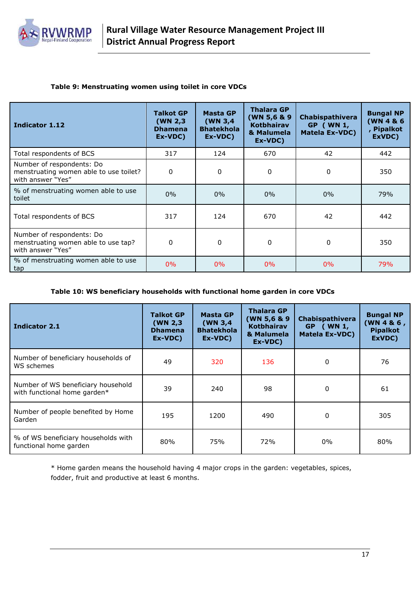

#### **Table 9: Menstruating women using toilet in core VDCs**

| Indicator 1.12                                                                           | <b>Talkot GP</b><br>(WN 2,3)<br><b>Dhamena</b><br>Ex-VDC) | Masta GP<br>(WN 3,4)<br><b>Bhatekhola</b><br>Ex-VDC) | <b>Thalara GP</b><br>(WN 5,6 & 9<br><b>Kotbhairav</b><br>& Malumela<br>Ex-VDC) | Chabispathivera<br>GP ( WN 1,<br><b>Matela Ex-VDC)</b> | <b>Bungal NP</b><br>(WN 4 & 6<br><b>Pipalkot</b><br>ExVDC) |
|------------------------------------------------------------------------------------------|-----------------------------------------------------------|------------------------------------------------------|--------------------------------------------------------------------------------|--------------------------------------------------------|------------------------------------------------------------|
| Total respondents of BCS                                                                 | 317                                                       | 124                                                  | 670                                                                            | 42                                                     | 442                                                        |
| Number of respondents: Do<br>menstruating women able to use toilet?<br>with answer "Yes" | 0                                                         | 0                                                    | 0                                                                              | $\Omega$                                               | 350                                                        |
| % of menstruating women able to use<br>toilet                                            | 0%                                                        | $0\%$                                                | $0\%$                                                                          | 0%                                                     | 79%                                                        |
| Total respondents of BCS                                                                 | 317                                                       | 124                                                  | 670                                                                            | 42                                                     | 442                                                        |
| Number of respondents: Do<br>menstruating women able to use tap?<br>with answer "Yes"    | 0                                                         | 0                                                    | 0                                                                              | $\Omega$                                               | 350                                                        |
| % of menstruating women able to use<br>tap                                               | $0\%$                                                     | $0\%$                                                | $0\%$                                                                          | $0\%$                                                  | 79%                                                        |

#### **Table 10: WS beneficiary households with functional home garden in core VDCs**

| Indicator 2.1                                                      | <b>Talkot GP</b><br>(WN 2,3)<br><b>Dhamena</b><br>Ex-VDC) | <b>Masta GP</b><br>(WN $3,4$<br><b>Bhatekhola</b><br>Ex-VDC) | <b>Thalara GP</b><br>(WN 5,6 & 9<br><b>Kotbhairav</b><br>& Malumela<br>Ex-VDC) | Chabispathivera<br>GP ( WN 1,<br><b>Matela Ex-VDC)</b> | <b>Bungal NP</b><br>(WN 4 & 6,<br><b>Pipalkot</b><br>ExVDC) |
|--------------------------------------------------------------------|-----------------------------------------------------------|--------------------------------------------------------------|--------------------------------------------------------------------------------|--------------------------------------------------------|-------------------------------------------------------------|
| Number of beneficiary households of<br>WS schemes                  | 49                                                        | 320                                                          | 136                                                                            | 0                                                      | 76                                                          |
| Number of WS beneficiary household<br>with functional home garden* | 39                                                        | 240                                                          | 98                                                                             | 0                                                      | 61                                                          |
| Number of people benefited by Home<br>Garden                       | 195                                                       | 1200                                                         | 490                                                                            | 0                                                      | 305                                                         |
| % of WS beneficiary households with<br>functional home garden      | 80%                                                       | 75%                                                          | 72%                                                                            | $0\%$                                                  | 80%                                                         |

\* Home garden means the household having 4 major crops in the garden: vegetables, spices, fodder, fruit and productive at least 6 months.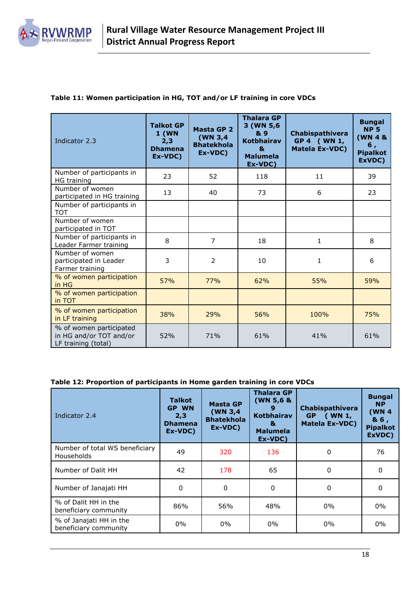

#### **Table 11: Women participation in HG, TOT and/or LF training in core VDCs**

| Indicator 2.3                                                             | <b>Talkot GP</b><br>1(WN)<br>2,3<br><b>Dhamena</b><br>Ex-VDC) | Masta GP 2<br>(WN 3,4<br><b>Bhatekhola</b><br>Ex-VDC) | <b>Thalara GP</b><br>3 (WN 5,6<br>& 9<br><b>Kotbhairav</b><br>R.<br><b>Malumela</b><br>Ex-VDC) | <b>Chabispathivera</b><br>GP 4 (WN 1,<br>Matela Ex-VDC) | <b>Bungal</b><br><b>NP 5</b><br>(WN 4 &<br>6,<br><b>Pipalkot</b><br>ExVDC) |
|---------------------------------------------------------------------------|---------------------------------------------------------------|-------------------------------------------------------|------------------------------------------------------------------------------------------------|---------------------------------------------------------|----------------------------------------------------------------------------|
| Number of participants in<br>HG training                                  | 23                                                            | 52                                                    | 118                                                                                            | 11                                                      | 39                                                                         |
| Number of women<br>participated in HG training                            | 13                                                            | 40                                                    | 73                                                                                             | 6                                                       | 23                                                                         |
| Number of participants in<br>TOT                                          |                                                               |                                                       |                                                                                                |                                                         |                                                                            |
| Number of women<br>participated in TOT                                    |                                                               |                                                       |                                                                                                |                                                         |                                                                            |
| Number of participants in<br>Leader Farmer training                       | 8                                                             | $\overline{7}$                                        | 18                                                                                             | 1                                                       | 8                                                                          |
| Number of women<br>participated in Leader<br>Farmer training              | 3                                                             | $\overline{2}$                                        | 10                                                                                             | 1                                                       | 6                                                                          |
| % of women participation<br>in HG                                         | 57%                                                           | 77%                                                   | 62%                                                                                            | 55%                                                     | 59%                                                                        |
| % of women participation<br>in TOT                                        |                                                               |                                                       |                                                                                                |                                                         |                                                                            |
| % of women participation<br>in LF training                                | 38%                                                           | 29%                                                   | 56%                                                                                            | 100%                                                    | 75%                                                                        |
| % of women participated<br>in HG and/or TOT and/or<br>LF training (total) | 52%                                                           | 71%                                                   | 61%                                                                                            | 41%                                                     | 61%                                                                        |

#### **Table 12: Proportion of participants in Home garden training in core VDCs**

| Indicator 2.4                                       | <b>Talkot</b><br><b>GP WN</b><br>2,3<br><b>Dhamena</b><br>Ex-VDC) | Masta GP<br>(WN 3,4)<br><b>Bhatekhola</b><br>Ex-VDC) | <b>Thalara GP</b><br>(WN 5,6 &<br>9<br><b>Kotbhairav</b><br>&<br><b>Malumela</b><br>Ex-VDC) | <b>Chabispathivera</b><br><b>GP</b><br>(WN <sub>1</sub> )<br><b>Matela Ex-VDC)</b> | <b>Bungal</b><br><b>NP</b><br>(WN <sub>4</sub> )<br>& 6,<br><b>Pipalkot</b><br>ExVDC) |
|-----------------------------------------------------|-------------------------------------------------------------------|------------------------------------------------------|---------------------------------------------------------------------------------------------|------------------------------------------------------------------------------------|---------------------------------------------------------------------------------------|
| Number of total WS beneficiary<br><b>Households</b> | 49                                                                | 320                                                  | 136                                                                                         | 0                                                                                  | 76                                                                                    |
| Number of Dalit HH                                  | 42                                                                | 178                                                  | 65                                                                                          | 0                                                                                  | 0                                                                                     |
| Number of Janajati HH                               | 0                                                                 | 0                                                    | 0                                                                                           | 0                                                                                  | 0                                                                                     |
| % of Dalit HH in the<br>beneficiary community       | 86%                                                               | 56%                                                  | 48%                                                                                         | $0\%$                                                                              | $0\%$                                                                                 |
| % of Janajati HH in the<br>beneficiary community    | $0\%$                                                             | $0\%$                                                | $0\%$                                                                                       | $0\%$                                                                              | $0\%$                                                                                 |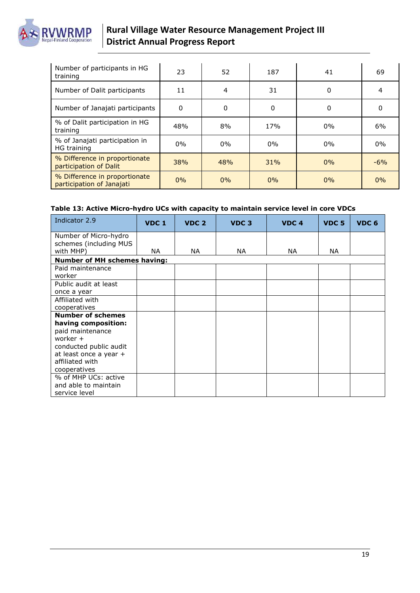

### **Rural Village Water Resource Management Project III District Annual Progress Report**

| Number of participants in HG<br>training                   | 23       | 52    | 187   | 41       | 69     |
|------------------------------------------------------------|----------|-------|-------|----------|--------|
| Number of Dalit participants                               | 11       | 4     | 31    | 0        | 4      |
| Number of Janajati participants                            | $\Omega$ | 0     | 0     | $\Omega$ | 0      |
| % of Dalit participation in HG<br>training                 | 48%      | 8%    | 17%   | $0\%$    | 6%     |
| % of Janajati participation in<br>HG training              | $0\%$    | $0\%$ | $0\%$ | $0\%$    | $0\%$  |
| % Difference in proportionate<br>participation of Dalit    | 38%      | 48%   | 31%   | 0%       | $-6\%$ |
| % Difference in proportionate<br>participation of Janajati | 0%       | $0\%$ | $0\%$ | 0%       | 0%     |

#### **Table 13: Active Micro-hydro UCs with capacity to maintain service level in core VDCs**

| Indicator 2.9                       | VDC 1 | VDC <sub>2</sub> | VDC <sub>3</sub> | VDC <sub>4</sub> | <b>VDC 5</b> | VDC <sub>6</sub> |
|-------------------------------------|-------|------------------|------------------|------------------|--------------|------------------|
| Number of Micro-hydro               |       |                  |                  |                  |              |                  |
| schemes (including MUS<br>with MHP) | NA.   | NA.              | NA.              | NA.              | NA.          |                  |
| <b>Number of MH schemes having:</b> |       |                  |                  |                  |              |                  |
| Paid maintenance                    |       |                  |                  |                  |              |                  |
| worker                              |       |                  |                  |                  |              |                  |
| Public audit at least               |       |                  |                  |                  |              |                  |
| once a year                         |       |                  |                  |                  |              |                  |
| Affiliated with                     |       |                  |                  |                  |              |                  |
| cooperatives                        |       |                  |                  |                  |              |                  |
| <b>Number of schemes</b>            |       |                  |                  |                  |              |                  |
| having composition:                 |       |                  |                  |                  |              |                  |
| paid maintenance                    |       |                  |                  |                  |              |                  |
| worker +                            |       |                  |                  |                  |              |                  |
| conducted public audit              |       |                  |                  |                  |              |                  |
| at least once a year +              |       |                  |                  |                  |              |                  |
| affiliated with                     |       |                  |                  |                  |              |                  |
| cooperatives                        |       |                  |                  |                  |              |                  |
| % of MHP UCs: active                |       |                  |                  |                  |              |                  |
| and able to maintain                |       |                  |                  |                  |              |                  |
| service level                       |       |                  |                  |                  |              |                  |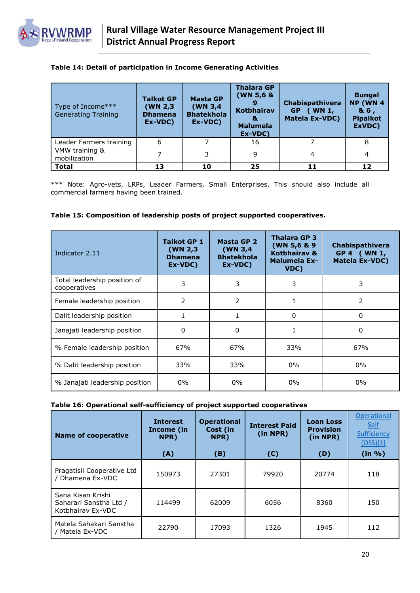

#### **Table 14: Detail of participation in Income Generating Activities**

| Type of Income***<br><b>Generating Training</b> | <b>Talkot GP</b><br>(WN 2,3)<br><b>Dhamena</b><br>Ex-VDC) | <b>Masta GP</b><br>(WN 3,4)<br><b>Bhatekhola</b><br>Ex-VDC) | <b>Thalara GP</b><br>(WN 5,6 &<br><b>Kotbhairav</b><br>8.<br><b>Malumela</b><br>Ex-VDC) | Chabispathivera<br>$($ WN 1,<br>GP<br><b>Matela Ex-VDC)</b> | <b>Bungal</b><br><b>NP (WN 4</b><br>& 6,<br><b>Pipalkot</b><br>ExVDC) |
|-------------------------------------------------|-----------------------------------------------------------|-------------------------------------------------------------|-----------------------------------------------------------------------------------------|-------------------------------------------------------------|-----------------------------------------------------------------------|
| Leader Farmers training                         | 6                                                         |                                                             | 16                                                                                      |                                                             |                                                                       |
| VMW training &<br>mobilization                  |                                                           | 3                                                           | 9                                                                                       | 4                                                           | 4                                                                     |
| <b>Total</b>                                    | 13                                                        | 10                                                          | 25                                                                                      | 11                                                          | 12                                                                    |

\*\*\* Note: Agro-vets, LRPs, Leader Farmers, Small Enterprises. This should also include all commercial farmers having been trained.

#### **Table 15: Composition of leadership posts of project supported cooperatives.**

| Indicator 2.11                               | <b>Talkot GP 1</b><br>(WN 2,3)<br><b>Dhamena</b><br>Ex-VDC) | Masta GP 2<br>(WN 3,4)<br><b>Bhatekhola</b><br>Ex-VDC) | <b>Thalara GP 3</b><br>(WN 5,6 & 9)<br>Kotbhairav &<br><b>Malumela Ex-</b><br>VDC) | Chabispathivera<br>GP 4 (WN 1,<br><b>Matela Ex-VDC)</b> |
|----------------------------------------------|-------------------------------------------------------------|--------------------------------------------------------|------------------------------------------------------------------------------------|---------------------------------------------------------|
| Total leadership position of<br>cooperatives | 3                                                           | 3                                                      | 3                                                                                  | 3                                                       |
| Female leadership position                   | 2                                                           | $\mathcal{P}$                                          |                                                                                    | 2                                                       |
| Dalit leadership position                    |                                                             |                                                        | 0                                                                                  | 0                                                       |
| Janajati leadership position                 | 0                                                           | 0                                                      |                                                                                    | 0                                                       |
| % Female leadership position                 | 67%                                                         | 67%                                                    | 33%                                                                                | 67%                                                     |
| % Dalit leadership position                  | 33%                                                         | 33%                                                    | $0\%$                                                                              | $0\%$                                                   |
| % Janajati leadership position               | $0\%$                                                       | $0\%$                                                  | $0\%$                                                                              | $0\%$                                                   |

#### **Table 16: Operational self-sufficiency of project supported cooperatives**

| <b>Name of cooperative</b>                                       | <b>Interest</b><br>Income (in<br>NPR) | <b>Operational</b><br>Cost (in<br>NPR) | <b>Interest Paid</b><br>(in NPR) | <b>Loan Loss</b><br><b>Provision</b><br>(in NPR) | Operational<br>Self<br>Sufficiency<br>(OSS)[1] |
|------------------------------------------------------------------|---------------------------------------|----------------------------------------|----------------------------------|--------------------------------------------------|------------------------------------------------|
|                                                                  | (A)                                   | (B)                                    | (C)                              | (D)                                              | (in %)                                         |
| Pragatisil Cooperative Ltd<br>/ Dhamena Ex-VDC                   | 150973                                | 27301                                  | 79920                            | 20774                                            | 118                                            |
| Sana Kisan Krishi<br>Saharari Sanstha Ltd /<br>Kotbhairav Ex-VDC | 114499                                | 62009                                  | 6056                             | 8360                                             | 150                                            |
| Matela Sahakari Sanstha<br>/ Matela Ex-VDC                       | 22790                                 | 17093                                  | 1326                             | 1945                                             | 112                                            |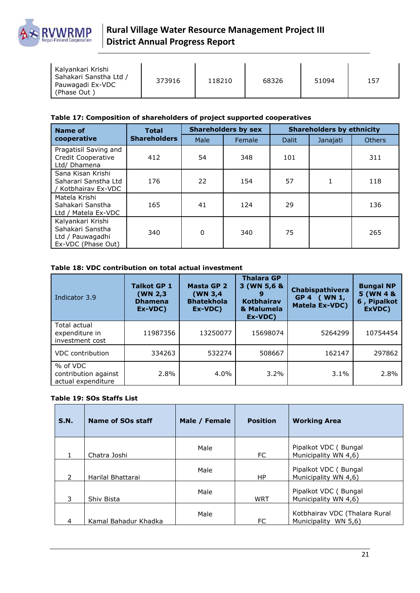

| Kalyankari Krishi<br>Sahakari Sanstha Ltd /<br>373916<br>Pauwagadi Ex-VDC<br>(Phase Out) | 118210 | 68326 | 51094 | 157 |
|------------------------------------------------------------------------------------------|--------|-------|-------|-----|
|------------------------------------------------------------------------------------------|--------|-------|-------|-----|

#### **Table 17: Composition of shareholders of project supported cooperatives**

| Name of                                                                         | <b>Total</b><br><b>Shareholders</b> | <b>Shareholders by sex</b> |        | <b>Shareholders by ethnicity</b> |          |               |
|---------------------------------------------------------------------------------|-------------------------------------|----------------------------|--------|----------------------------------|----------|---------------|
| cooperative                                                                     |                                     | Male                       | Female | <b>Dalit</b>                     | Janajati | <b>Others</b> |
| Pragatisil Saving and<br>Credit Cooperative<br>Ltd/ Dhamena                     | 412                                 | 54                         | 348    | 101                              |          | 311           |
| Sana Kisan Krishi<br>Saharari Sanstha Ltd<br>/ Kotbhairav Ex-VDC                | 176                                 | 22                         | 154    | 57                               |          | 118           |
| Matela Krishi<br>Sahakari Sanstha<br>Ltd / Matela Ex-VDC                        | 165                                 | 41                         | 124    | 29                               |          | 136           |
| Kalyankari Krishi<br>Sahakari Sanstha<br>Ltd / Pauwagadhi<br>Ex-VDC (Phase Out) | 340                                 | 0                          | 340    | 75                               |          | 265           |

#### **Table 18: VDC contribution on total actual investment**

| Indicator 3.9                                          | <b>Talkot GP 1</b><br>(WN 2,3)<br><b>Dhamena</b><br>Ex-VDC) | Masta GP 2<br>(WN 3,4)<br><b>Bhatekhola</b><br>Ex-VDC) | <b>Thalara GP</b><br>3 (WN 5,6 &<br><b>Kotbhairav</b><br>& Malumela<br>Ex-VDC) | Chabispathivera<br>GP 4 ( WN 1,<br><b>Matela Ex-VDC)</b> | <b>Bungal NP</b><br>5 (WN 4 &<br>6, Pipalkot<br>ExVDC) |
|--------------------------------------------------------|-------------------------------------------------------------|--------------------------------------------------------|--------------------------------------------------------------------------------|----------------------------------------------------------|--------------------------------------------------------|
| Total actual<br>expenditure in<br>investment cost      | 11987356                                                    | 13250077                                               | 15698074                                                                       | 5264299                                                  | 10754454                                               |
| <b>VDC</b> contribution                                | 334263                                                      | 532274                                                 | 508667                                                                         | 162147                                                   | 297862                                                 |
| % of VDC<br>contribution against<br>actual expenditure | 2.8%                                                        | $4.0\%$                                                | $3.2\%$                                                                        | $3.1\%$                                                  | 2.8%                                                   |

#### **Table 19: SOs Staffs List**

| S.N.          | Name of SOs staff    | Male / Female | <b>Position</b> | <b>Working Area</b>                                   |
|---------------|----------------------|---------------|-----------------|-------------------------------------------------------|
|               | Chatra Joshi         | Male          | FC.             | Pipalkot VDC (Bungal<br>Municipality WN 4,6)          |
| $\mathcal{P}$ | Harilal Bhattarai    | Male          | HP              | Pipalkot VDC (Bungal<br>Municipality WN 4,6)          |
| 3             | Shiv Bista           | Male          | <b>WRT</b>      | Pipalkot VDC (Bungal<br>Municipality WN 4,6)          |
| 4             | Kamal Bahadur Khadka | Male          | FC              | Kotbhairav VDC (Thalara Rural<br>Municipality WN 5,6) |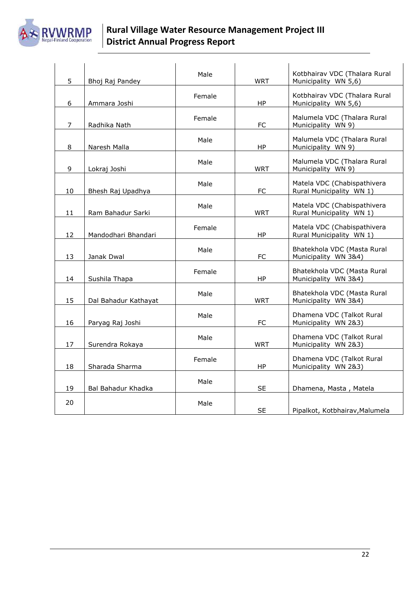

### **Rural Village Water Resource Management Project III District Annual Progress Report**

| 5              | Bhoj Raj Pandey      | Male   | <b>WRT</b> | Kotbhairav VDC (Thalara Rural<br>Municipality WN 5,6)   |
|----------------|----------------------|--------|------------|---------------------------------------------------------|
| 6              | Ammara Joshi         | Female | HP         | Kotbhairav VDC (Thalara Rural<br>Municipality WN 5,6)   |
| $\overline{7}$ | Radhika Nath         | Female | <b>FC</b>  | Malumela VDC (Thalara Rural<br>Municipality WN 9)       |
| 8              | Naresh Malla         | Male   | <b>HP</b>  | Malumela VDC (Thalara Rural<br>Municipality WN 9)       |
| 9              | Lokraj Joshi         | Male   | <b>WRT</b> | Malumela VDC (Thalara Rural<br>Municipality WN 9)       |
| 10             | Bhesh Raj Upadhya    | Male   | <b>FC</b>  | Matela VDC (Chabispathivera<br>Rural Municipality WN 1) |
| 11             | Ram Bahadur Sarki    | Male   | <b>WRT</b> | Matela VDC (Chabispathivera<br>Rural Municipality WN 1) |
| 12             | Mandodhari Bhandari  | Female | <b>HP</b>  | Matela VDC (Chabispathivera<br>Rural Municipality WN 1) |
| 13             | Janak Dwal           | Male   | <b>FC</b>  | Bhatekhola VDC (Masta Rural<br>Municipality WN 3&4)     |
| 14             | Sushila Thapa        | Female | HP.        | Bhatekhola VDC (Masta Rural<br>Municipality WN 3&4)     |
| 15             | Dal Bahadur Kathayat | Male   | <b>WRT</b> | Bhatekhola VDC (Masta Rural<br>Municipality WN 384)     |
| 16             | Paryag Raj Joshi     | Male   | <b>FC</b>  | Dhamena VDC (Talkot Rural<br>Municipality WN 2&3)       |
| 17             | Surendra Rokaya      | Male   | <b>WRT</b> | Dhamena VDC (Talkot Rural<br>Municipality WN 2&3)       |
| 18             | Sharada Sharma       | Female | HP         | Dhamena VDC (Talkot Rural<br>Municipality WN 2&3)       |
| 19             | Bal Bahadur Khadka   | Male   | <b>SE</b>  | Dhamena, Masta, Matela                                  |
| 20             |                      | Male   | <b>SE</b>  | Pipalkot, Kotbhairav, Malumela                          |